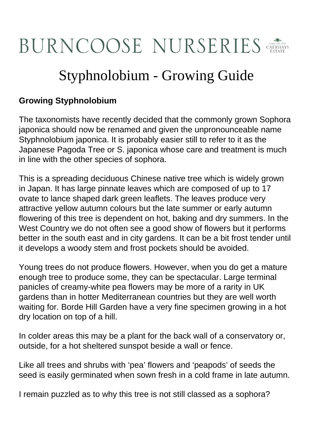## BURNCOOSE NURSERIES

## Styphnolobium - Growing Guide

## **Growing Styphnolobium**

The taxonomists have recently decided that the commonly grown Sophora japonica should now be renamed and given the unpronounceable name Styphnolobium japonica. It is probably easier still to refer to it as the Japanese Pagoda Tree or S. japonica whose care and treatment is much in line with the other species of sophora.

This is a spreading deciduous Chinese native tree which is widely grown in Japan. It has large pinnate leaves which are composed of up to 17 ovate to lance shaped dark green leaflets. The leaves produce very attractive yellow autumn colours but the late summer or early autumn flowering of this tree is dependent on hot, baking and dry summers. In the West Country we do not often see a good show of flowers but it performs better in the south east and in city gardens. It can be a bit frost tender until it develops a woody stem and frost pockets should be avoided.

Young trees do not produce flowers. However, when you do get a mature enough tree to produce some, they can be spectacular. Large terminal panicles of creamy-white pea flowers may be more of a rarity in UK gardens than in hotter Mediterranean countries but they are well worth waiting for. Borde Hill Garden have a very fine specimen growing in a hot dry location on top of a hill.

In colder areas this may be a plant for the back wall of a conservatory or, outside, for a hot sheltered sunspot beside a wall or fence.

Like all trees and shrubs with 'pea' flowers and 'peapods' of seeds the seed is easily germinated when sown fresh in a cold frame in late autumn.

I remain puzzled as to why this tree is not still classed as a sophora?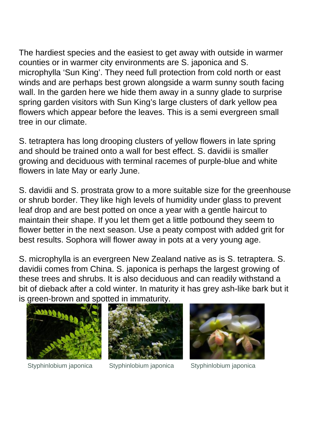The hardiest species and the easiest to get away with outside in warmer counties or in warmer city environments are S. japonica and S. microphylla 'Sun King'. They need full protection from cold north or east winds and are perhaps best grown alongside a warm sunny south facing wall. In the garden here we hide them away in a sunny glade to surprise spring garden visitors with Sun King's large clusters of dark yellow pea flowers which appear before the leaves. This is a semi evergreen small tree in our climate.

S. tetraptera has long drooping clusters of yellow flowers in late spring and should be trained onto a wall for best effect. S. davidii is smaller growing and deciduous with terminal racemes of purple-blue and white flowers in late May or early June.

S. davidii and S. prostrata grow to a more suitable size for the greenhouse or shrub border. They like high levels of humidity under glass to prevent leaf drop and are best potted on once a year with a gentle haircut to maintain their shape. If you let them get a little potbound they seem to flower better in the next season. Use a peaty compost with added grit for best results. Sophora will flower away in pots at a very young age.

S. microphylla is an evergreen New Zealand native as is S. tetraptera. S. davidii comes from China. S. japonica is perhaps the largest growing of these trees and shrubs. It is also deciduous and can readily withstand a bit of dieback after a cold winter. In maturity it has grey ash-like bark but it is green-brown and spotted in immaturity.







Styphinlobium japonica Styphinlobium japonica Styphinlobium japonica